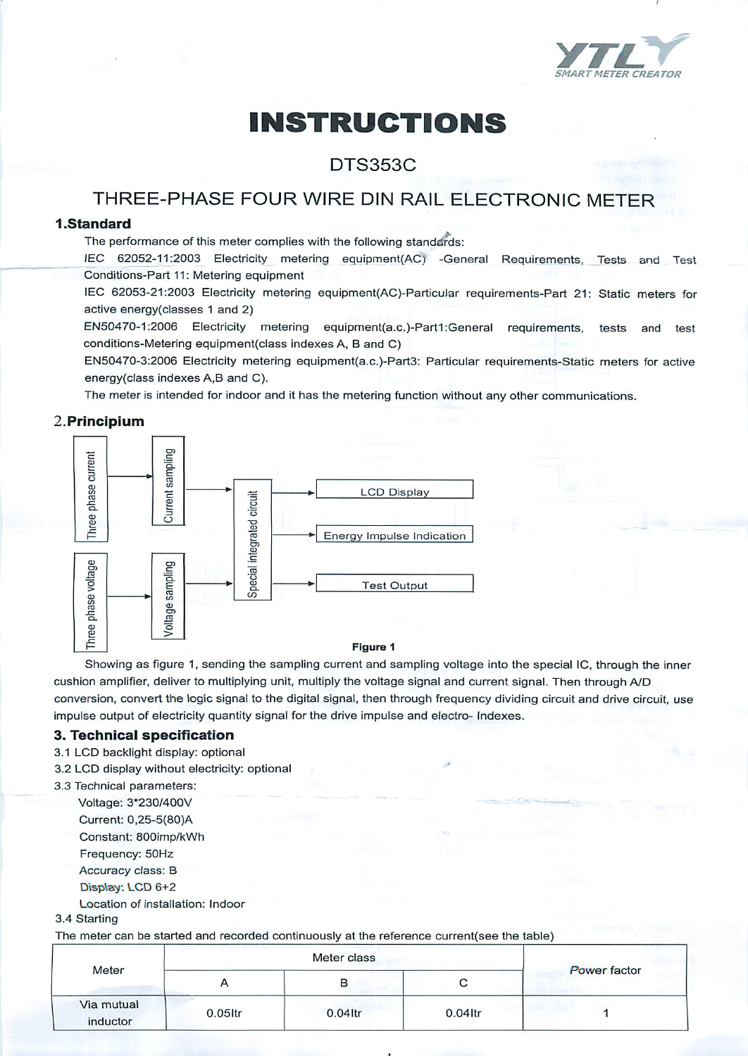

# *INSTRUCTIONS*

## DTS353C

# THREE-PHASE FOUR WIRE DIN RAIL ELECTRONIC METER

## *<sup>1</sup> .Standard*

The performance of this meter complies with the following standards:

**lEC** 62052-11:2003 Electricity metering equipment(AC) -General Requirements, Tests and Test Conditions-Part 11: Metering equipment

lEC 62053-21:2003 Electricity metering equipment(AC)-Particular requirements-Part 21: Static meters *for* active energy(classes 1 and 2)

EN50470-1:2006 Electricity metering equipment(a.c.)-Part1:General requirements, tests and test conditions-Metering equipment(class indexes A, B and C)

EN50470-3:2006 Electricity metering equipment(a.c.)-Part3: Particular requirements-Static meters for active energy(class indexes A,B and C).

The meter is intended for indoor and it has the metering function without any other communications.

## 2.Principium



#### I— *Figure 1*

Showing as figure 1, sending the sampling current and sampling voltage into the special IC, through the inner cushion amplifier, deliver to multiplying unit, multiply the voltage signal and current signal. Then through A/D conversion, convert the logic signal to the digital signal, then through frequency dividing circuit and drive circuit, use impulse output of electricity quantity signal for the drive impulse and electro- Indexes.

#### *3. Technical specification*

- 3.1 LCD backlight display: optional
- 3.2 LCD display without electricity: optional
- 3.3 Technical parameters:

Voltage: 3\*230/400V Current: 0,25-5(80)A Constant: 800imp/kWh Frequency: 50Hz Accuracy class: B *DiSptey.* LCD 6+2

Location of installation: Indoor

#### 3.4 Starting

The meter can be started and recorded continuously at the reference current(see the table)

| Meter                  | Meter class           |            |         |                     |
|------------------------|-----------------------|------------|---------|---------------------|
|                        | $\mathbf{\mathsf{m}}$ | в          | ◡       | <b>Power factor</b> |
| Via mutual<br>inductor | $0.05$ ltr            | $0.04$ ltr | 0.04ltr |                     |